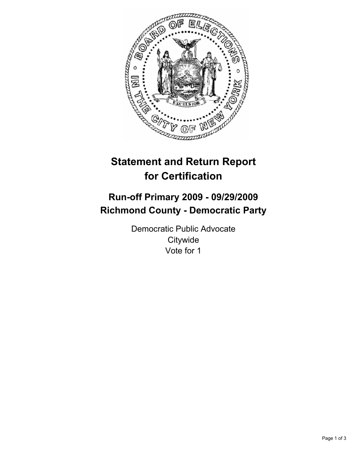

# **Statement and Return Report for Certification**

## **Run-off Primary 2009 - 09/29/2009 Richmond County - Democratic Party**

Democratic Public Advocate **Citywide** Vote for 1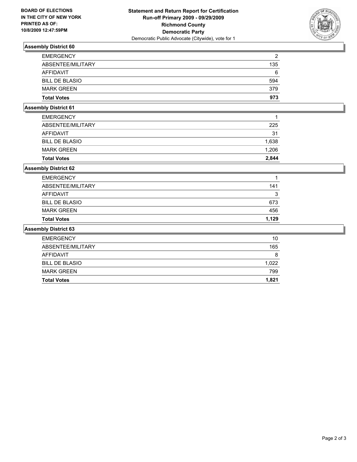

### **Assembly District 60**

| <b>EMERGENCY</b>      | 2   |
|-----------------------|-----|
| ABSENTEE/MILITARY     | 135 |
| AFFIDAVIT             | 6   |
| <b>BILL DE BLASIO</b> | 594 |
| <b>MARK GREEN</b>     | 379 |
| <b>Total Votes</b>    | 973 |

#### **Assembly District 61**

| <b>Total Votes</b>    | 2.844 |
|-----------------------|-------|
| <b>MARK GREEN</b>     | 1.206 |
| <b>BILL DE BLASIO</b> | 1,638 |
| AFFIDAVIT             | 31    |
| ABSENTEE/MILITARY     | 225   |
| <b>EMERGENCY</b>      | 1     |
|                       |       |

#### **Assembly District 62**

| <b>Total Votes</b>    | 1.129 |
|-----------------------|-------|
| <b>MARK GREEN</b>     | 456   |
| <b>BILL DE BLASIO</b> | 673   |
| AFFIDAVIT             | 3     |
| ABSENTEE/MILITARY     | 141   |
| <b>EMERGENCY</b>      | 1     |

#### **Assembly District 63**

| <b>EMERGENCY</b>      | 10    |
|-----------------------|-------|
| ABSENTEE/MILITARY     | 165   |
| AFFIDAVIT             | 8     |
| <b>BILL DE BLASIO</b> | 1.022 |
| <b>MARK GREEN</b>     | 799   |
| <b>Total Votes</b>    | 1,821 |